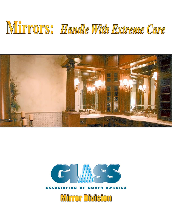# Mirrors: Handle With Extreme Care





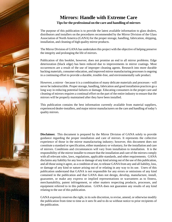

# **Mirrors: Handle with Extreme Care**

## **Tips for the professional on the care and handling of mirrors**

The purpose of this publication is to provide the latest available information to glass dealers, distributors and installers on the procedures recommended by the Mirror Division of the Glass Association of North America (GANA) for the proper storage, handling, fabrication, shipping, installation, and cleaning of high quality mirror products.

The Mirror Division of GANA has undertaken this project with the objective of helping preserve the integrity and prolonging the life of mirrors.

Publication of this booklet, however, does not promise an end to all mirror problems. Edge deterioration (black edge) has been reduced due to improvements in mirror coatings. Most occurrences are a result of the use of improper cleaning agents. Research into more durable backing materials, consumer education, and improved mirror manufacturing processes is ongoing in a continuing effort to provide a durable, trouble-free, and environmentally safe product.

However, a mirror - because it is a combination of many delicate materials and processes - will never be indestructible. Proper storage, handling, fabrication and good installation practices go a long way in reducing potential failures or damage. Educating consumers in the proper care and cleaning of mirrors requires a continual effort on the part of the entire industry to ensure that the mirrors will be properly maintained after they have been installed.

This publication contains the best information currently available from material suppliers, experienced dealer-installers, and major mirror manufacturers on the care and handling of today's quality mirrors.

**Disclaimer.** This document is prepared by the Mirror Division of GANA solely to provide guidance regarding the proper installation and care of mirrors. It represents the collective experience of those in the mirror manufacturing industry; however, this document does not constitute a standard or specification, either mandatory or voluntary, for the installation and care of mirrors. Conditions and circumstances will vary from installation to installation. It is the responsibility of the mirror installer to ensure that the installation and care of the mirrors comply with all relevant rules, laws, regulations, applicable standards, and other requirements. GANA disclaims any liability for any loss or damage of any kind arising out of the use of this publication, and all those using it agree, as a condition of use, to release GANA from any and all liability, loss, or damage of any kind or nature arising out of or relating in any way to its use. Users of this publication understand that GANA is not responsible for any errors or omissions of any kind contained in the publication and that GANA does not design, develop, manufacture, install, guarantee, or make any express or implied representations or warrantees as to fitness, merchantability, patent infringement, or other matters respecting products, processes, and equipment referred to in this publication. GANA does not guarantee any results of any kind relating to the use of this publication.

GANA expressly reserves the right, in its sole discretion, to revise, amend, or otherwise modify the publication from time to time as it sees fit and to do so without notice to prior recipients of the publication.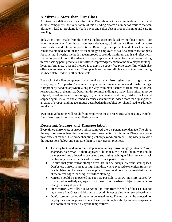

# **A Mirror – More than Just Glass**

A mirror is a delicate and beautiful thing. Even though it is a combination of hard and durable components, the very nature of this blending creates a number of frailties that can ultimately lead to problems for both buyer and seller absent proper planning and care in handling.

Today's mirrors - made from the highest quality glass produced by the float process - are better in every way from those made just a decade ago. Surfaces are flatter and there are fewer surface and internal imperfections. Better edges are possible and closer tolerances can be maintained. State-of-the-art technology is employed to assure a better sheet of glass for silvering. Silvering methods have improved to provide maximum depth and reflectivity. Better copper solutions, the advent of copper replacement technology, and thermosetting mirror backing paint products, have offered improved protection to the silver layer for longlived performance. A second method is to apply a copper-free protective film, which also offers environmental advantages. The copper layer has been eliminated and the silver coating has been stabilized with other chemicals.

But each of the five components which make up the mirror, glass; sensitizing solution; silver; copper "copper-free" chemicals, copper replacement coatings; and finish coatings, if improperly handled anywhere along the way from manufacture to final installation can lead to a failure of the mirror. Opportunities for mishandling are many. Each mirror must be shipped, stored, removed from storage, cut, perhaps beveled or drilled, finished, packed and shipped again, installed and cleaned. Because each mirror is indeed more than "just glass," an array of proper handling techniques described in this publication should lead to a durable installation.

Two positive benefits will result from employing these procedures: a handsome, troublefree mirror installation and a satisfied customer.

# **Receiving, Storage and Transportation**

Every time a mirror crate or an open mirror is moved, there is potential for damage. Therefore, the key to successful handling is to keep these movements to a minimum. Plan your storage in an efficient manner. Use proper handling techniques and equipment. Ship wisely. Review the suggestions below and compare them to your present practices.

- The very first and important step in maintaining mirror integrity is to *check your shipments on arrival*. If there appears to be moisture present, the mirrors should be unpacked and allowed to dry using a separating technique. Moisture can attack the backing or stain the face of a mirror over a period of time.
- Be sure that your mirror storage areas are in dry, adequately ventilated spaces. Don't store mirrors in areas of high humidity, where exposed to chemical fumes, or near high heat such as steam or water pipes. These conditions can cause deterioration of the mirror edges, backing, or surface staining.
- Mirrors should be unpacked as soon as possible to allow moisture caused by condensation to dissipate, especially if the mirrors have been subject to temperature changes during shipment.
- Store mirrors vertically, but *do not* pull mirrors from the ends of the case. Do not lay mirrors flat. Glass exhibits more strength, fewer strains when stored vertically.
- Don't store mirrors outdoors or in unheated areas. The mirror can be affected not only by the moisture prevalent under these conditions, but also by excessive expansion and contraction caused by cyclic temperatures.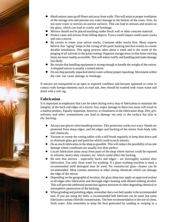

- Block mirror cases up off floors and away from walls. This will assist in proper ventilation of the storage area and prevent any water damage to the bottom of the cases. Also, do not store crates or mirrors on uneven surfaces. This can lead to stresses and strains on the glass, which can lead to cracks and breakage.
- Mirrors should not be placed touching cinder block wall or other concrete material.
- Protect cases and mirrors from falling objects. Even a small impact could cause cracks and ruin a mirror.
- Be certain to rotate your mirror stocks. Consume older stocks first. Many experts believe that "aging" helps in the curing of the paint backing and thus results in a more durable installation. This aging process takes about a week and is the result of the purging of all solvents in the paint coating. Organize storage areas so that faster moving items are more readily accessible. This will reduce traffic and handling and make damage less likely.
- Be certain that handling equipment is strong enough to handle the weight of the mirror. A dropped mirror is usually a ruined mirror.
- $\bullet$  Do not ship partially unpacked mirror cases without proper repacking. Movement within the case can cause damage or breakage.

If mirrors are transported in an open or exposed condition and become spattered or come in contact with foreign elements such as road salt, they should be washed with warm water and dried with a soft rag.

# **Fabrication**

It is important to emphasize that care be taken during every step of fabrication to maintain the integrity of the back and edges of a mirror. Any major damage to these two areas will result in a useless product. Equally important, however, is cleanliness in the fabrication shop. *Dirt, grit, solvents, and other contaminants can lead to damage not only to the surface but also to the backing.*

- Always use gloves when handling mirrors. This protection works two ways. Hands are protected from sharp edges, and the edges and backing of the mirror from body salts and chemicals.
- Vacuum or sweep the cutting tables with a stiff brush regularly to keep dust down and to eliminate glass grit and particles which could scratch mirrors.
- Do as much fabrication in the shop as possible. This will reduce the possibility of on-site damage where conditions are usually less than perfect.
- Locate fabrication areas away from parts of the shop where mirrors could be exposed to solvents, heavy-duty cleaners, etc. which could affect the backing.
- Be sure that mirrors especially backs and edges are thoroughly washed after fabrication. Use only clean water for washing. If a glass washing machine is used, a recommended mild detergent may be used. No commercial glass cleaner can be recommended. Most contain ammonia or other strong chemicals which can damage the edge of the mirror.
- Depending on the geographical location, the glass shop may apply an approved sealant to all edges after fabrication and thorough edge cleaning with diluted rubbing alcohol. This will provide additional protection against moisture or other degrading chemical or atmospheric penetration of the backing.
- When grinding and polishing edges, remember that a wet belt sander is the recommended tool. If you are using dry belts, a recommended belt lubricant can be used, but some lubricants contain chloride contaminants. The best recommendation is the use of clean, fresh water. Also remember to keep the heat generated by sanding or swiping to a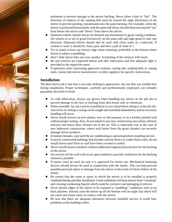minimum to prevent damage to the mirror backing. Never allow a belt to "fire". The direction of rotation of the sanding belt must be toward the edge (thickness) of the mirror to prevent pushing contaminants into the paint backing. For example, when the mirror is positioned horizontally with the paint side down, the belt direction must be "up" from below the mirror and "down" from above the mirror.

- Diamond wheels should always be dressed and maintained in good cutting condition. Set wheels so as not to grind excessively on the paint side and edge grind in only one direction. Diamond wheels should also be used with clean water as a lubricant. If coolant is used, it should be clean, pure and have a pH of close to 7.
- Try to retain at least one factory edge when trimming, preferably at the bottom where mirror is subject to puddling.
- Don't slide mirror lites one over another. Scratching of the surfaces will result.
- Be sure mirrors are inspected before and after fabrication and that adequate light is provided in the inspection areas.
- If questions arise concerning approved coolants, cutting oils, sanding belts or cutting tools, contact the mirror manufacturer or other suppliers for specific instructions.

# **Installation**

The best mirror job is one that is not only striking in appearance, but one that was trouble-free during installation. Proper techniques, carefully and professionally employed, can virtually guarantee this kind of result.

- As with fabrication, always use gloves when handling any mirror on the job site to prevent damage to the face or backing from skin-borne salts or chemicals.
- Where possible, lay out a mirror installation in your shop before taking it to the job site. Any errors in cutting or sizing can be caught and remedied immediately and no excessive handling will occur.
- Never install mirrors on new plaster, new or old masonry or on a freshly painted wall without proper sealing. Also, do not install in any new construction area where airborne solvents and heavy-duty cleaners are in the air. This is especially true in the case of new bathroom construction, where acid fumes from tile grout cleaners can severely damage mirror products.
- In humid climates, wait until the air conditioning is operating before installing mirrors.
- In newly constructed buildings that include concrete floors or cinder block walls, do not install mirror until floor or wall have been covered or sealed.
- Never install mirrors outdoors without additional engineered protection for the backing of the mirror.
- Set mirrors off the wall with an air space behind to provide ventilation for the backing whenever possible.
- If mastic must be used, be sure it is approved for mirror use. Mechanical fastening devices should always be used in conjunction with the mastic. This can help prevent possible personal injury or damage from the mirror in the event of future failure of the mastic.
- Be certain that the room or space in which the mirror is to be installed is properly ventilated during and after installation. Good ventilation will keep mirrors from "sweating" and creating condensing liquids which could be corrosive and damaging to mirrors.
- Never permit edges of the mirror to be exposed to "puddling" conditions such as on back splashes. Instead, raise the mirror up off the bottom with an angle clip which will not catch and retain water in contact with the mirror.
- Be sure that there are adequate tolerances between installed mirrors to avoid later problems as the building settles.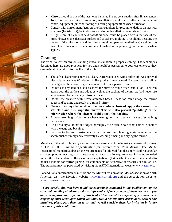- Mirrors should be one of the last items installed in new construction after final cleanup. To insure the best mirror protection, installation should occur after air temperature control equipment (air conditioning or heating equipment) has been turned on.
- Consult with mirror manufacturers or other suppliers for recommendations on mastics, silicones (for trim out), belt lubricants, and other installation materials and tools.
- A light seam of clear (not acid based) silicone could be placed across the face of the mirror between the glass face surface and splash or J molding. This should be along the bottom of the mirror only and the other three sides open for ventilation. Care should be taken to ensure excessive material is not pushed to the paint edge of the mirror when applied.

# **Cleaning**

The "final touch" on any outstanding mirror installation is proper cleaning. The techniques described here are good practices for you and should be passed on to your customers so they can maintain the mirror for the life of the job.

- The safest cleaner for a mirror is clean, warm water used with a soft cloth. An approved glass cleaner such as Windex or similar products may be used. Be careful not to allow the edges of the mirror to get or remain wet over a period of time.
- Do not use any acid or alkali cleaners for mirror cleanup after installation. They can attack both the surface and edges as well as the backing of the mirror. And never use an abrasive cleaner on any mirror surface.
- Do not use cleaners with heavy ammonia bases. These too can damage the mirror edges and backing and result in a ruined mirror.
- z **Never spray** *any* **cleaner directly on to a mirror. Instead, apply the cleaner to a soft cloth and then wipe the mirror. This will also prevent "puddling" at the mirror edge where the cleaner could attack the backing.**
- Always use soft, grit-free cloths when cleaning a mirror to reduce chances of scratching the surface.
- Be sure to dry all joints and edges thoroughly to be certain no cleaner comes in contact with the edge and backing.
- Be sure to let your customers know that routine cleaning maintenance can be accomplished simply and effectively by washing, rinsing and drying the mirror.

Members of the mirror industry also encourage awareness of the industry consensus document ASTM C 1503 – *Standard Specification for Silvered Flat Glass Mirror*. The ASTM International standard addresses the requirements for silvered flat glass mirrors of rectangular shape supplied as cut sizes, stock sheets or as lehr ends; quality requirements of silvered annealed monolithic clear and tinted flat glass mirrors up to 6 mm (1/4 in.) thick; and mirrors intended to be used indoors for mirror glazing, for components of decorative accessories or similar use. The standard may be purchased by visiting the ASTM International website: www.astm.org.

For additional information on mirrors and the Mirror Division of the Glass Association of North America, visit the Division website: www.mirrorlink.org and the Association website: www.glasswebsite.com.

*We are hopeful that you have found the suggestions contained in this publication, on the care and handling of mirror products, informative. If one or more of them are new to you and can improve your operations, this booklet has served its purpose. If you have been employing other techniques which you think would benefit other distributors, dealers and installers, please pass them on to us, and we will consider them for inclusion in future revisions of this publication.*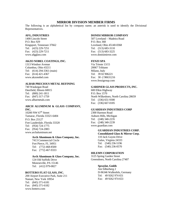#### **MIRROR DIVISION MEMBER FIRMS**

The following is an alphabetical list by company name; an asterisk is used to identify the Divisional Representatives.

#### **AFG, INDUSTRIES**

1400 Lincoln Street P.O. Box 929 Kingsport, Tennessee 37662 Tel: (423) 229-7251 Fax: (423) 229-7211 www.afgglass.com

#### **AKZO NOBEL COATINGS, INC.**

1313 Windsor Avenue Columbus, Ohio 43211 Tel: (614) 294-3361 (main) Fax: (614) 421-4367 www.akzonobel.com

#### **ALBAR PRECIOUS METAL REFINING**

740 Waukegan Road Deerfield, Illinois 60015 Tel: (800) 241-1811 Fax: (847) 317-1759 www.albarmetals.com

#### **ARCH ALUMINUM & GLASS COMPANY, INC.**

10200 NW  $67<sup>th</sup>$  Street Tamarac, Florida 33321-6404 P.O. Box 25127 Fort Lauderdale, Florida 33320 Tel: (954) 724-1775 Fax: (954) 724-2083 www.archaluminum.net

#### **Arch Aluminum & Glass Company, Inc.**

 7413 Commercial Circle Fort Pierce, FL 34951 Tel: (772) 468-8500 Fax: (772) 467-9333

#### **Arch Aluminum & Glass Company, Inc.**

 124 Old Suffolk Drive Monroeville, PA 15146 Tel: (412) 979-0827

#### **BOTTERO FLAT GLASS, INC.**

200 Airport Executive Park, Suite 211 Nanuet, New York 10954 Tel: (845) 371-6181 Fax: (845) 371-6182 www.bottero.com

#### **DONISI MIRROR COMPANY**

507 Loveland – Madeira Road P.O. Box 368 Loveland, Ohio 45140-0368 Tel: (513) 683-3110 Fax: (513) 683-3225 www.donisimirror.com

#### **FENZI SPA**

Via Trieste 13/15 20067 Tribiano Milano, Italy Tel: 39 02 906221 Fax: 30 -2 90631216 www.fenzigroup.com

#### **GARDNER GLASS PRODUCTS, INC.**

600 Elkin Highway P.O. Box 1570 North Wilkesboro, North Carolina 28659 Tel: (336) 651-9300 Fax: (336) 667-0185

#### **GUARDIAN INDUSTRIES CORP**

2300 Harmon Road Auburn Hills, Michigan Tel: (248) 340-2235 Fax: (248) 340-2239 www.guardian.com

## **GUARDIAN INDUSTRIES CORP.**

 **Consolidated Glass & Mirror Corp.**  110 Jack Guynn Drive Galax, Virginia 24333

 Tel: (540) 236-5196 Fax: (540) 236-0570

#### **HILEMN CORPORATION**

3125 Spring Garden Street Greensboro, North Carolina 27407

#### **Spraylat, Gmbh**

 Am Silberberg 2 D-96346 Wallenfels, Germany Tel: 49 9262 974 651 Fax: 49 9262 974 653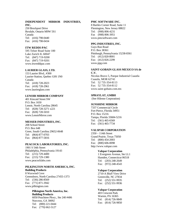#### **INDEPENDENT MIRROR INDUSTRIES, INC.**  250 Brockport Drive

Rexdale, Ontario M9W 5S1 Canada Tel: (416) 798-0440 Fax: (416) 798-0434

#### **ITW REDDI-PAC**

595 Telser Road Suite 100 Lake Zurich IL 60047 Tel: (847) 719-9200 Fax: (847) 719-9201 www.itwreddipac.com

#### **LAURIER GLASS, LTD.**

153 Laurier Blvd., #300 Laurier-Station, Quebec G0S 1N0 Canada Tel: (418) 728-2023 Fax: (418) 728-2961 www.laurierglass.com

#### **LENOIR MIRROR COMPANY**

401 Kincaid Street SW P.O. Box 1650 Lenoir, North Carolina 28645 Tel: (828) 728-3271 x221 Fax: (828) 728-5010 www.LenoirMirror.com

#### **MESSER INDUSTRIES, INC.**

208 School Street P.O. Box 648 Greer, South Carolina 29652-0648 Tel: (864) 877-0703 Fax: (864) 877-5816

#### **PEACOCK LABORATORIES, INC.**

1901 S 54th Street Philadelphia, Pennsylvania 19143 Tel: (215) 729-4400 Fax: (215) 729-1380 www.peacocklabs.com

# **PILKINGTON NORTH AMERICA, INC.**

**Building Products**  8 Waxwind Cove Greensboro, North Carolina 27455-1373 Tel: (336) 286-8569 Fax: (771) 871-3942 www.pilkington.com

#### **Pilkington North America, Inc. Building Products**

 6050 Peachtree Pkwy., Ste 240 #406 Norcross, GA 30092 Tel: (800) 221-0444 Fax: (770) 662-5127

#### **PMC SOFTWARE INC.**

8 Bartles Corner Road, Suite 11 Flemington, New Jersey 08822 Tel: (908) 806-4231 Fax (908) 806-3951 www.pmcsoftware.com

#### **PPG INDUSTRIES, INC.**

Guys Run Road P.O. Box 38361 Pittsburgh, Pennsylvania 15238-8361 Tel: (412) 820-8001 Fax: (412) 826-2299 www.ppg.com

#### **SAINT-GOBAIN GLASS MEXICO SA de C.V.**

Nicolas Bravo 5, Parque Industrial Cuautla Cuautla, MOR 62741 Tel: 52 735-354-8113 Fax: 52 735-354-8112 www.saint-gobain.com.mx

#### **SPRAYLAT, GMBH**

(See Hilemn Corporation)

#### **SUNSHINE MIRROR**

7337 Commercial Circle Fort Pierce, Florida 34951 P.O. Box 15216 Tampa, Florida 33684-5216 Tel: (561) 465-6569 Fax: (561) 465-7734

#### **VALSPAR CORPORATION**

2350 – 114th Street Grand Prairie, Texas 75050 Tel: (800) 454-2003 Fax: (800) 606-0098 http://www.valspar.com

#### **Valspar Corporation**

 1 Evergreen Avenue, Ste LL1 Hamden, Connecticut 06518 Tel: (203) 248-2649 Fax: (972) 248-4543

#### **Valspar Corporation**

 2710-A Bluff View Drive Greenville, NC 27834 Tel: (252) 551-9935 Fax: (252) 551-9936

#### **Valspar Corporation**

403 Crescent Park Warren, PA 16365 Tel: (814) 726-9849 Fax: (814) 726-9850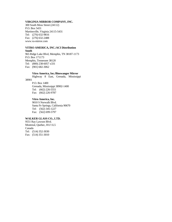#### **VIRGINIA MIRROR COMPANY, INC.**

300 South Moss Street (24112) P.O. Box 5431 Martinsville, Virginia 24115-5431 Tel: (276) 632-9816 Fax: (276) 632-2488 www.va-mirror.com

#### **VITRO AMERICA, INC./ACI Distribution South**

965 Ridge Lake Blvd, Memphis, TN 38187-1173 P.O. Box 171173 Memphis, Tennessee 38120 Tel: (800) 238-6057 x331 Fax: (901) 682-3062

#### **Vitro America, Inc./Binswanger Mirror**

 Highway 8 East, Grenada, Mississippi 38901

 P.O. Box 1400 Grenada, Mississippi 38902-1400 Tel: (662) 226-5551 Fax: (662) 226-9787

#### **Vitro America, Inc.**

 9010 S Norwalk Blvd. Santa Fe Springs, California 90670 Tel: (562) 345-1227 Fax: (562) 699-5797

#### **WALKER GLASS CO., LTD.**

9551 Ray Lawson Blvd. Montreal, Quebec, H1J 1L5 Canada Tel: (514) 352-3030 Fax: (514) 351-3010